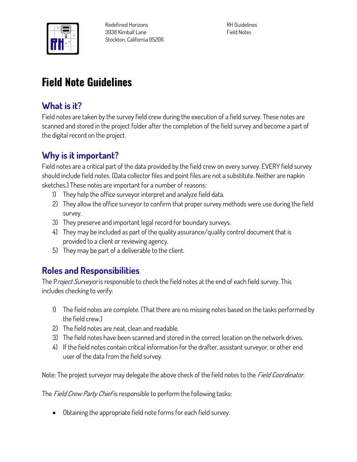

**Redefined Horizons 3938 Kimball Lane Stockton, California 95206** **RH Guidelines Field Notes**

# **Field Note Guidelines**

## **What is it?**

**Field notes are taken by the survey field crew during the execution of a field survey. These notes are scanned and stored in the project folder after the completion of the field survey and become a part of the digital record on the project.**

# **Why is it important?**

**Field notes are a critical part of the data provided by the field crew on every survey. EVERY field survey should include field notes. (Data collector files and point files are not a substitute. Neither are napkin sketches.) These notes are important for a number of reasons:**

- **1) They help the office surveyor interpret and analyze field data.**
- **2) They allow the office surveyor to confirm that proper survey methods were use during the field survey.**
- **3) They preserve and important legal record for boundary surveys.**
- **4) They may be included as part of the quality assurance/quality control document that is provided to a client or reviewing agency.**
- **5) They may be part of a deliverable to the client.**

## **Roles and Responsibilities**

**The Project Surveyor is responsible to check the field notes at the end of each field survey. This includes checking to verify:**

- **1) The field notes are complete. (That there are no missing notes based on the tasks performed by the field crew.)**
- **2) The field notes are neat, clean and readable.**
- **3) The field notes have been scanned and stored in the correct location on the network drives.**
- **4) If the field notes contain critical information for the drafter, assistant surveyor, or other end user of the data from the field survey.**

**Note: The project surveyor may delegate the above check of the field notes to the Field Coordinator.**

**The Field Crew Party Chief is responsible to perform the following tasks:**

• **Obtaining the appropriate field note forms for each field survey.**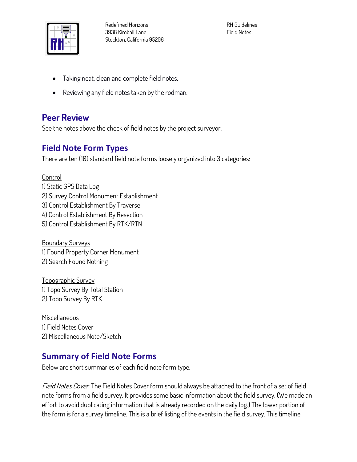

**RH Guidelines Field Notes**

- **Taking neat, clean and complete field notes.**
- **Reviewing any field notes taken by the rodman.**

#### **Peer Review**

**See the notes above the check of field notes by the project surveyor.**

#### **Field Note Form Types**

**There are ten (10) standard field note forms loosely organized into 3 categories:**

**Control 1) Static GPS Data Log 2) Survey Control Monument Establishment 3) Control Establishment By Traverse 4) Control Establishment By Resection 5) Control Establishment By RTK/RTN**

**Boundary Surveys 1) Found Property Corner Monument 2) Search Found Nothing**

**Topographic Survey 1) Topo Survey By Total Station 2) Topo Survey By RTK**

**Miscellaneous 1) Field Notes Cover 2) Miscellaneous Note/Sketch**

#### **Summary of Field Note Forms**

**Below are short summaries of each field note form type.**

**Field Notes Cover: The Field Notes Cover form should always be attached to the front of a set of field note forms from a field survey. It provides some basic information about the field survey. (We made an effort to avoid duplicating information that is already recorded on the daily log.) The lower portion of the form is for a survey timeline. This is a brief listing of the events in the field survey. This timeline**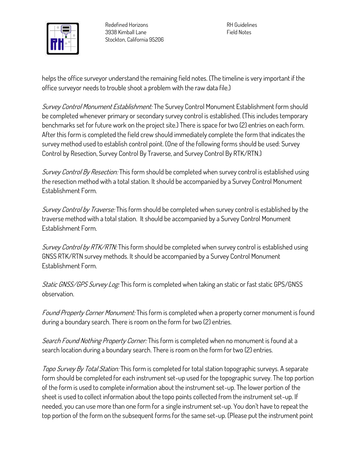

**Redefined Horizons 3938 Kimball Lane Stockton, California 95206**

**RH Guidelines Field Notes**

**helps the office surveyor understand the remaining field notes. (The timeline is very important if the office surveyor needs to trouble shoot a problem with the raw data file.)**

**Survey Control Monument Establishment: The Survey Control Monument Establishment form should be completed whenever primary or secondary survey control is established. (This includes temporary benchmarks set for future work on the project site.) There is space for two (2) entries on each form. After this form is completed the field crew should immediately complete the form that indicates the survey method used to establish control point. (One of the following forms should be used: Survey Control by Resection, Survey Control By Traverse, and Survey Control By RTK/RTN.)**

**Survey Control By Resection: This form should be completed when survey control is established using the resection method with a total station. It should be accompanied by a Survey Control Monument Establishment Form.**

**Survey Control by Traverse: This form should be completed when survey control is established by the traverse method with a total station. It should be accompanied by a Survey Control Monument Establishment Form.**

**Survey Control by RTK/RTN: This form should be completed when survey control is established using GNSS RTK/RTN survey methods. It should be accompanied by a Survey Control Monument Establishment Form.**

**Static GNSS/GPS Survey Log: This form is completed when taking an static or fast static GPS/GNSS observation.**

**Found Property Corner Monument: This form is completed when a property corner monument is found during a boundary search. There is room on the form for two (2) entries.** 

**Search Found Nothing Property Corner: This form is completed when no monument is found at a search location during a boundary search. There is room on the form for two (2) entries.**

**Topo Survey By Total Station: This form is completed for total station topographic surveys. A separate form should be completed for each instrument set-up used for the topographic survey. The top portion of the form is used to complete information about the instrument set-up. The lower portion of the sheet is used to collect information about the topo points collected from the instrument set-up. If needed, you can use more than one form for a single instrument set-up. You don't have to repeat the top portion of the form on the subsequent forms for the same set-up. (Please put the instrument point**